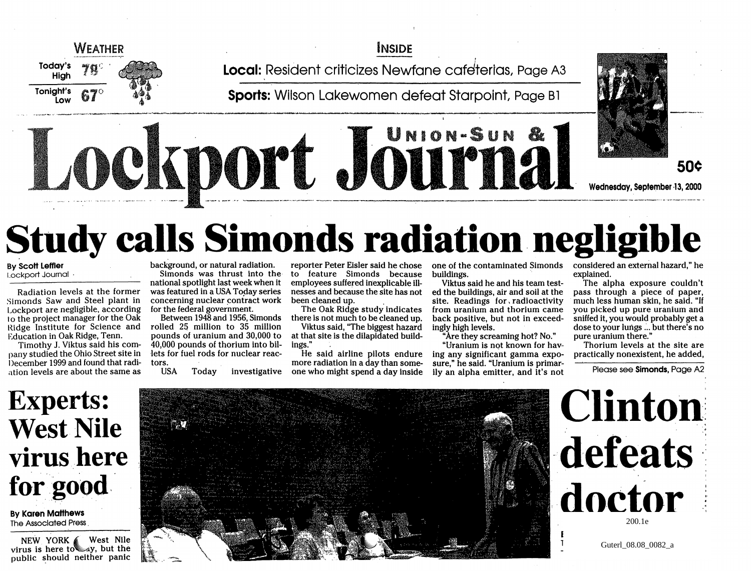

### INSIDE

Local: Resident criticizes Newfane cafeterias, Page A3

Sports: Wilson Lakewomen defeat Starpoint, Page B1

# UNIONuSUN **DOP' JOUPIER SOCKED** Wednesday, September ·13, 2000

---~--'~'-~-' .. ~------~-------------------------

# **Study calls Simonds radiation negligible**

**By Scott Leffler** L.ockport Journal .

Radiation levels at the former Simonds Saw and Steel plant in Lockport are negligible. according 10 the project manager for the Oak Ridge Institute for Science and Education in Oak Ridge, Tenn.

Timothy J. Viktus said his company studied the Ohio Street site in December 1999 and found that radiation levels are about the same as

background, or natural radiation. Simonds was thrust into the national spotlight last week when it was featured in a USA Today series concerning nuclear contract work for the federal government.

Between 1948 and 1956, Simonds rolled 25 million to 35 million pounds of uranium and 30,000 to 40,000 pounds of thorium into billets for fuel rods for nuclear reactors.

USA Today investigative

reporter Peter Eisler said he chose to feature Simonds because employees suffered inexplicable illnesses and because the site has not

The Oak Ridge study indicates there is not much to be cleaned up. Viktus said, "The biggest hazard at that site is the dilapidated buildings."

He said airline pilots endure more radiation in a day than someone who might spend a day inside

one of the contaminated Simonds buildings.

Viktus said he and his team tested the buildings, air and soil at the site. Readings for. radioactivity from uranium and thorium came back positive, but not in exceedingly high levels.

"Are they screaming hot? No."

"Uranium is not known for having any significant gamma exposure," he said. "Uranium is primarily an alpha emitter, and it's not

considered an external hazard," he explained.

The alpha exposure couldn't pass through a piece of paper, much less human skin, he said. "If you picked up pure uranium and sniffed it, you would probably get a dose to your lungs ... but there's no pure uranium there."

Thorium levels at the site are practically nonexisfent, he added,

Please see Simonds, Page A2

## **Experts: West Nile**  virus here for good

By Karen Matthews The Associated Press.

NEW YORK  $\ll$  West Nile virus is here to~y, but the public should neither panic